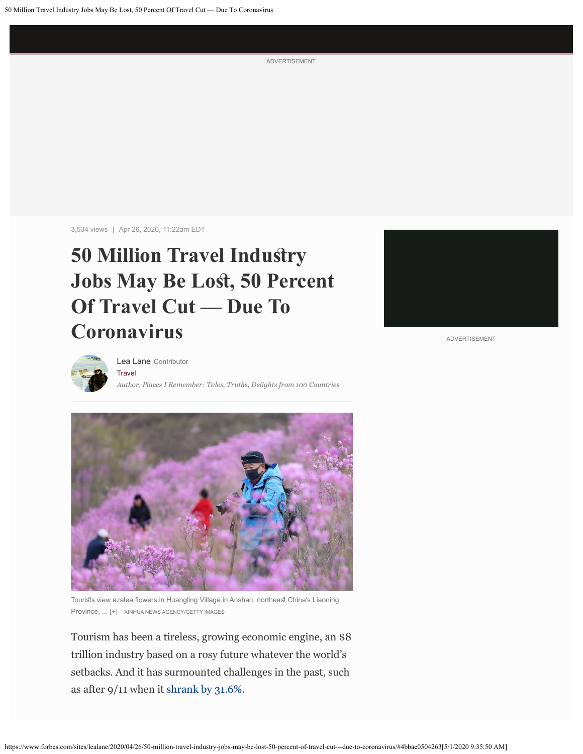ADVERTISEMENT

3,534 views | Apr 26, 2020, 11:22am EDT

## **50 Million Travel Indusry** Jobs May Be Lost, 50 Percent **Of Travel Cut — Due To Coronavirus**



ADVERTISEMENT



**[Travel](https://www.forbes.com/travel)** *Author, Places I Remember: Tales, Truths, Delights from 100 Countries* [Lea Lane](https://www.forbes.com/sites/lealane/) Contributor



Tourists view azalea flowers in Huangling Village in Anshan, northeast China's Liaoning Province, ... [+] XINHUA NEWS AGENCY/GETTY IMAGES

Tourism has been a tireless, growing economic engine, an \$8 trillion industry based on a rosy future whatever the world's setbacks. And it has surmounted challenges in the past, such as after 9/11 when it [shrank by 31.6%](https://link.springer.com/chapter/10.1057/9780230100060_7).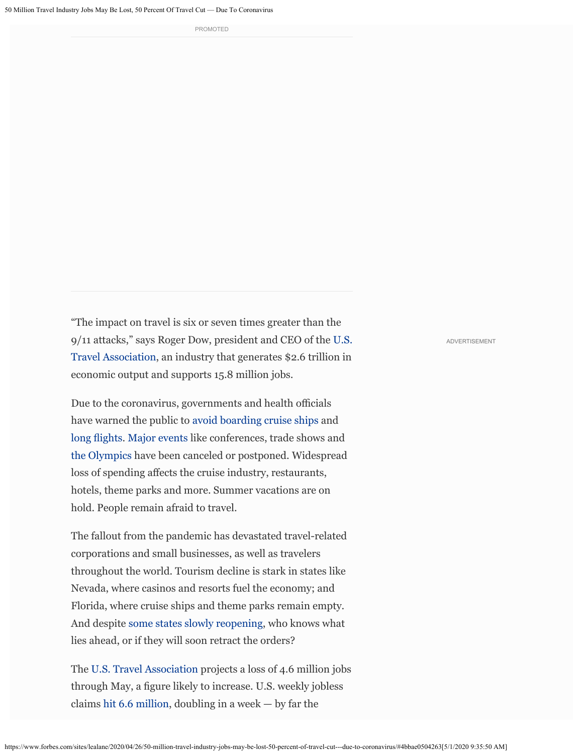PROMOTED

"The impact on travel is six or seven times greater than the 9/11 attacks," says Roger Dow, president and CEO of th[e U.S.](https://www.ustravel.org/) [Travel Association,](https://www.ustravel.org/) an industry that generates \$2.6 trillion in economic output and supports 15.8 million jobs.

Due to the coronavirus, governments and health officials have warned the public to [avoid boarding cruise ships](https://www.cdc.gov/media/releases/2020/s0409-modifications-extension-no-sail-ships.html) and [long fights](https://www.cdc.gov/coronavirus/2019-ncov/travelers/faqs.html). [Major events](https://www.isitcanceledyet.com/) like conferences, trade shows and [the Olympics](https://www.nbcnews.com/news/world/tokyo-2020-olympics-postponed-over-coronavirus-concerns-n1165046) have been canceled or postponed. Widespread loss of spending afects the cruise industry, restaurants, hotels, theme parks and more. Summer vacations are on hold. People remain afraid to travel.

The fallout from the pandemic has devastated travel-related corporations and small businesses, as well as travelers throughout the world. Tourism decline is stark in states like Nevada, where casinos and resorts fuel the economy; and Florida, where cruise ships and theme parks remain empty. And despite [some states slowly reopening](https://www.cnn.com/2020/04/26/health/us-coronavirus-sunday/index.html), who knows what lies ahead, or if they will soon retract the orders?

The [U.S. Travel Association](https://www.ustravel.org/) projects a loss of 4.6 million jobs through May, a fgure likely to increase. U.S. weekly jobless claims [hit 6.6 million](https://www.nytimes.com/2020/04/02/business/economy/coronavirus-unemployment-claims.html?action=click&module=Spotlight&pgtype=Homepage), doubling in a week — by far the

ADVERTISEMENT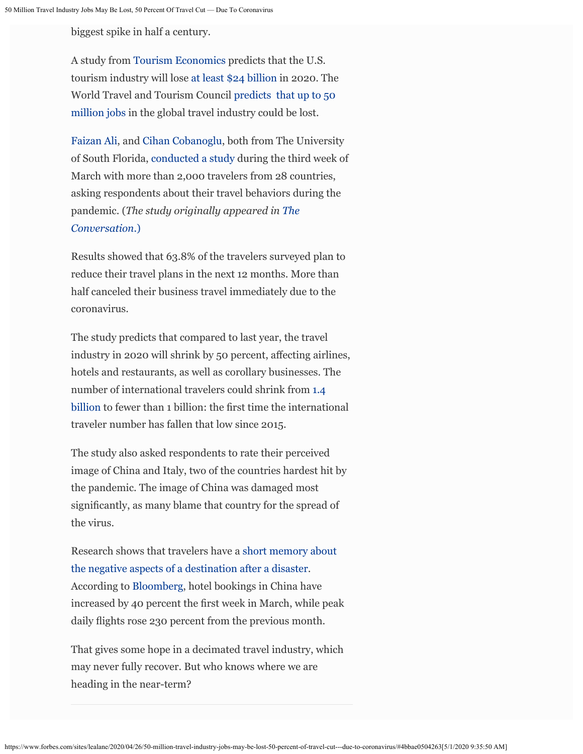biggest spike in half a century.

A study from [Tourism Economics](https://www.tourismeconomics.com/) predicts that the U.S. tourism industry will lose [at least \\$24 billion](https://www.cnbc.com/2020/03/11/coronavirus-travel-industry-could-lose-24-billion-in-tourism-from-outside-us.html) in 2020. The World Travel and Tourism Council [predicts that up to 50](https://www.weforum.org/agenda/2020/03/world-travel-coronavirus-covid19-jobs-pandemic-tourism-aviation/) [million jobs](https://www.weforum.org/agenda/2020/03/world-travel-coronavirus-covid19-jobs-pandemic-tourism-aviation/) in the global travel industry could be lost.

[Faizan Ali](https://theconversation.com/profiles/faizan-ali-1032118), and [Cihan Cobanoglu](https://theconversation.com/profiles/cihan-cobanoglu-1033454), both from The University of South Florida, [conducted a study](https://m3center.org/our-team/) during the third week of March with more than 2,000 travelers from 28 countries, asking respondents about their travel behaviors during the pandemic. (*The study originally appeared in [The](https://theconversation.com/us) [Conversation.](https://theconversation.com/us)*[\)](https://theconversation.com/us)

Results showed that 63.8% of the travelers surveyed plan to reduce their travel plans in the next 12 months. More than half canceled their business travel immediately due to the coronavirus.

The study predicts that compared to last year, the travel industry in 2020 will shrink by 50 percent, afecting airlines, hotels and restaurants, as well as corollary businesses. The number of international travelers could shrink from [1.4](https://www.e-unwto.org/doi/pdf/10.18111/9789284421152) [billion](https://www.e-unwto.org/doi/pdf/10.18111/9789284421152) to fewer than 1 billion: the frst time the international traveler number has fallen that low since 2015.

The study also asked respondents to rate their perceived image of China and Italy, two of the countries hardest hit by the pandemic. The image of China was damaged most signifcantly, as many blame that country for the spread of the virus.

Research shows that travelers have a [short memory about](https://doi.org/10.1080/19368623.2011.647264) [the negative aspects of a destination after a disaster.](https://doi.org/10.1080/19368623.2011.647264) According to [Bloomberg](https://www.bloomberg.com/), hotel bookings in China have increased by 40 percent the frst week in March, while peak daily fights rose 230 percent from the previous month.

That gives some hope in a decimated travel industry, which may never fully recover. But who knows where we are heading in the near-term?